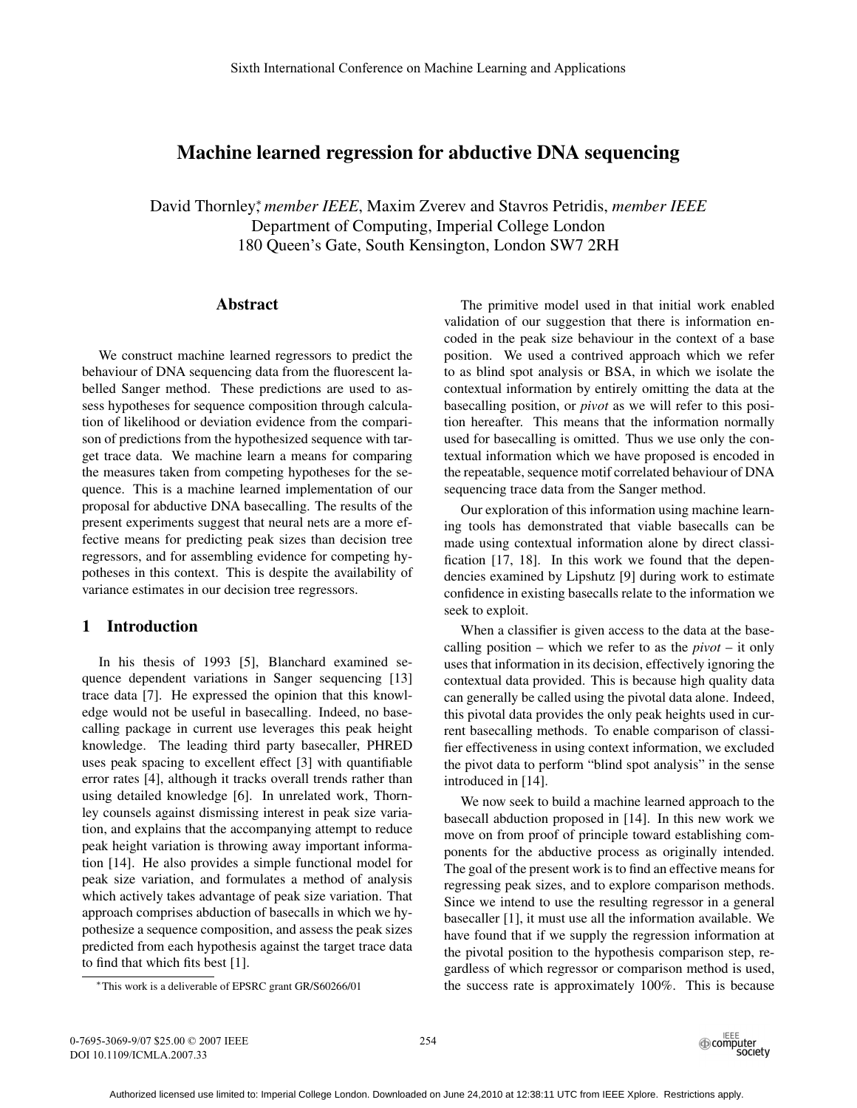# **Machine learned regression for abductive DNA sequencing**

David Thornley<sup>∗</sup> , *member IEEE*, Maxim Zverev and Stavros Petridis, *member IEEE* Department of Computing, Imperial College London 180 Queen's Gate, South Kensington, London SW7 2RH

## **Abstract**

We construct machine learned regressors to predict the behaviour of DNA sequencing data from the fluorescent labelled Sanger method. These predictions are used to assess hypotheses for sequence composition through calculation of likelihood or deviation evidence from the comparison of predictions from the hypothesized sequence with target trace data. We machine learn a means for comparing the measures taken from competing hypotheses for the sequence. This is a machine learned implementation of our proposal for abductive DNA basecalling. The results of the present experiments suggest that neural nets are a more effective means for predicting peak sizes than decision tree regressors, and for assembling evidence for competing hypotheses in this context. This is despite the availability of variance estimates in our decision tree regressors.

## **1 Introduction**

In his thesis of 1993 [5], Blanchard examined sequence dependent variations in Sanger sequencing [13] trace data [7]. He expressed the opinion that this knowledge would not be useful in basecalling. Indeed, no basecalling package in current use leverages this peak height knowledge. The leading third party basecaller, PHRED uses peak spacing to excellent effect [3] with quantifiable error rates [4], although it tracks overall trends rather than using detailed knowledge [6]. In unrelated work, Thornley counsels against dismissing interest in peak size variation, and explains that the accompanying attempt to reduce peak height variation is throwing away important information [14]. He also provides a simple functional model for peak size variation, and formulates a method of analysis which actively takes advantage of peak size variation. That approach comprises abduction of basecalls in which we hypothesize a sequence composition, and assess the peak sizes predicted from each hypothesis against the target trace data to find that which fits best [1].

The primitive model used in that initial work enabled validation of our suggestion that there is information encoded in the peak size behaviour in the context of a base position. We used a contrived approach which we refer to as blind spot analysis or BSA, in which we isolate the contextual information by entirely omitting the data at the basecalling position, or *pivot* as we will refer to this position hereafter. This means that the information normally used for basecalling is omitted. Thus we use only the contextual information which we have proposed is encoded in the repeatable, sequence motif correlated behaviour of DNA sequencing trace data from the Sanger method.

Our exploration of this information using machine learning tools has demonstrated that viable basecalls can be made using contextual information alone by direct classification [17, 18]. In this work we found that the dependencies examined by Lipshutz [9] during work to estimate confidence in existing basecalls relate to the information we seek to exploit.

When a classifier is given access to the data at the basecalling position – which we refer to as the *pivot* – it only uses that information in its decision, effectively ignoring the contextual data provided. This is because high quality data can generally be called using the pivotal data alone. Indeed, this pivotal data provides the only peak heights used in current basecalling methods. To enable comparison of classifier effectiveness in using context information, we excluded the pivot data to perform "blind spot analysis" in the sense introduced in [14].

We now seek to build a machine learned approach to the basecall abduction proposed in [14]. In this new work we move on from proof of principle toward establishing components for the abductive process as originally intended. The goal of the present work is to find an effective means for regressing peak sizes, and to explore comparison methods. Since we intend to use the resulting regressor in a general basecaller [1], it must use all the information available. We have found that if we supply the regression information at the pivotal position to the hypothesis comparison step, regardless of which regressor or comparison method is used, the success rate is approximately 100%. This is because

0-7695-3069-9/07 \$25.00 © 2007 IEEE DOI 10.1109/ICMLA.2007.33



<sup>∗</sup>This work is a deliverable of EPSRC grant GR/S60266/01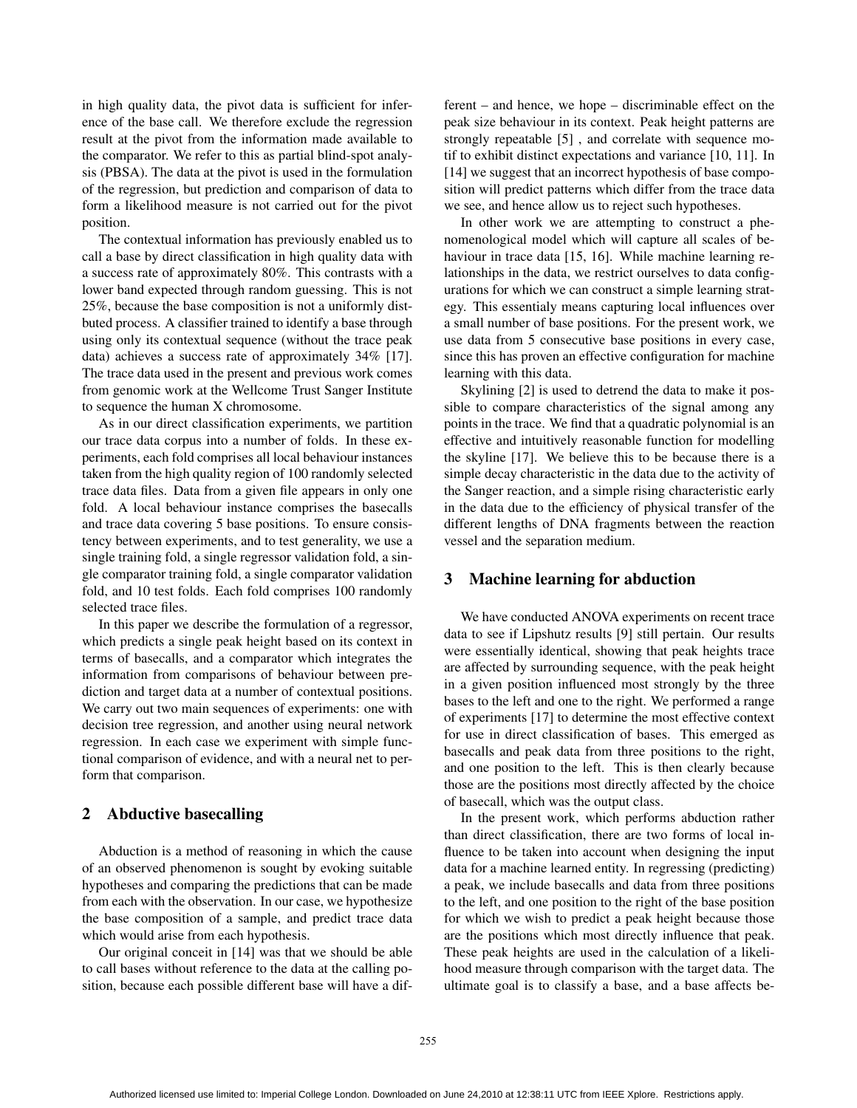in high quality data, the pivot data is sufficient for inference of the base call. We therefore exclude the regression result at the pivot from the information made available to the comparator. We refer to this as partial blind-spot analysis (PBSA). The data at the pivot is used in the formulation of the regression, but prediction and comparison of data to form a likelihood measure is not carried out for the pivot position.

The contextual information has previously enabled us to call a base by direct classification in high quality data with a success rate of approximately 80%. This contrasts with a lower band expected through random guessing. This is not 25%, because the base composition is not a uniformly distbuted process. A classifier trained to identify a base through using only its contextual sequence (without the trace peak data) achieves a success rate of approximately 34% [17]. The trace data used in the present and previous work comes from genomic work at the Wellcome Trust Sanger Institute to sequence the human X chromosome.

As in our direct classification experiments, we partition our trace data corpus into a number of folds. In these experiments, each fold comprises all local behaviour instances taken from the high quality region of 100 randomly selected trace data files. Data from a given file appears in only one fold. A local behaviour instance comprises the basecalls and trace data covering 5 base positions. To ensure consistency between experiments, and to test generality, we use a single training fold, a single regressor validation fold, a single comparator training fold, a single comparator validation fold, and 10 test folds. Each fold comprises 100 randomly selected trace files.

In this paper we describe the formulation of a regressor, which predicts a single peak height based on its context in terms of basecalls, and a comparator which integrates the information from comparisons of behaviour between prediction and target data at a number of contextual positions. We carry out two main sequences of experiments: one with decision tree regression, and another using neural network regression. In each case we experiment with simple functional comparison of evidence, and with a neural net to perform that comparison.

## **2 Abductive basecalling**

Abduction is a method of reasoning in which the cause of an observed phenomenon is sought by evoking suitable hypotheses and comparing the predictions that can be made from each with the observation. In our case, we hypothesize the base composition of a sample, and predict trace data which would arise from each hypothesis.

Our original conceit in [14] was that we should be able to call bases without reference to the data at the calling position, because each possible different base will have a different – and hence, we hope – discriminable effect on the peak size behaviour in its context. Peak height patterns are strongly repeatable [5] , and correlate with sequence motif to exhibit distinct expectations and variance [10, 11]. In [14] we suggest that an incorrect hypothesis of base composition will predict patterns which differ from the trace data we see, and hence allow us to reject such hypotheses.

In other work we are attempting to construct a phenomenological model which will capture all scales of behaviour in trace data [15, 16]. While machine learning relationships in the data, we restrict ourselves to data configurations for which we can construct a simple learning strategy. This essentialy means capturing local influences over a small number of base positions. For the present work, we use data from 5 consecutive base positions in every case, since this has proven an effective configuration for machine learning with this data.

Skylining [2] is used to detrend the data to make it possible to compare characteristics of the signal among any points in the trace. We find that a quadratic polynomial is an effective and intuitively reasonable function for modelling the skyline [17]. We believe this to be because there is a simple decay characteristic in the data due to the activity of the Sanger reaction, and a simple rising characteristic early in the data due to the efficiency of physical transfer of the different lengths of DNA fragments between the reaction vessel and the separation medium.

## **3 Machine learning for abduction**

We have conducted ANOVA experiments on recent trace data to see if Lipshutz results [9] still pertain. Our results were essentially identical, showing that peak heights trace are affected by surrounding sequence, with the peak height in a given position influenced most strongly by the three bases to the left and one to the right. We performed a range of experiments [17] to determine the most effective context for use in direct classification of bases. This emerged as basecalls and peak data from three positions to the right, and one position to the left. This is then clearly because those are the positions most directly affected by the choice of basecall, which was the output class.

In the present work, which performs abduction rather than direct classification, there are two forms of local influence to be taken into account when designing the input data for a machine learned entity. In regressing (predicting) a peak, we include basecalls and data from three positions to the left, and one position to the right of the base position for which we wish to predict a peak height because those are the positions which most directly influence that peak. These peak heights are used in the calculation of a likelihood measure through comparison with the target data. The ultimate goal is to classify a base, and a base affects be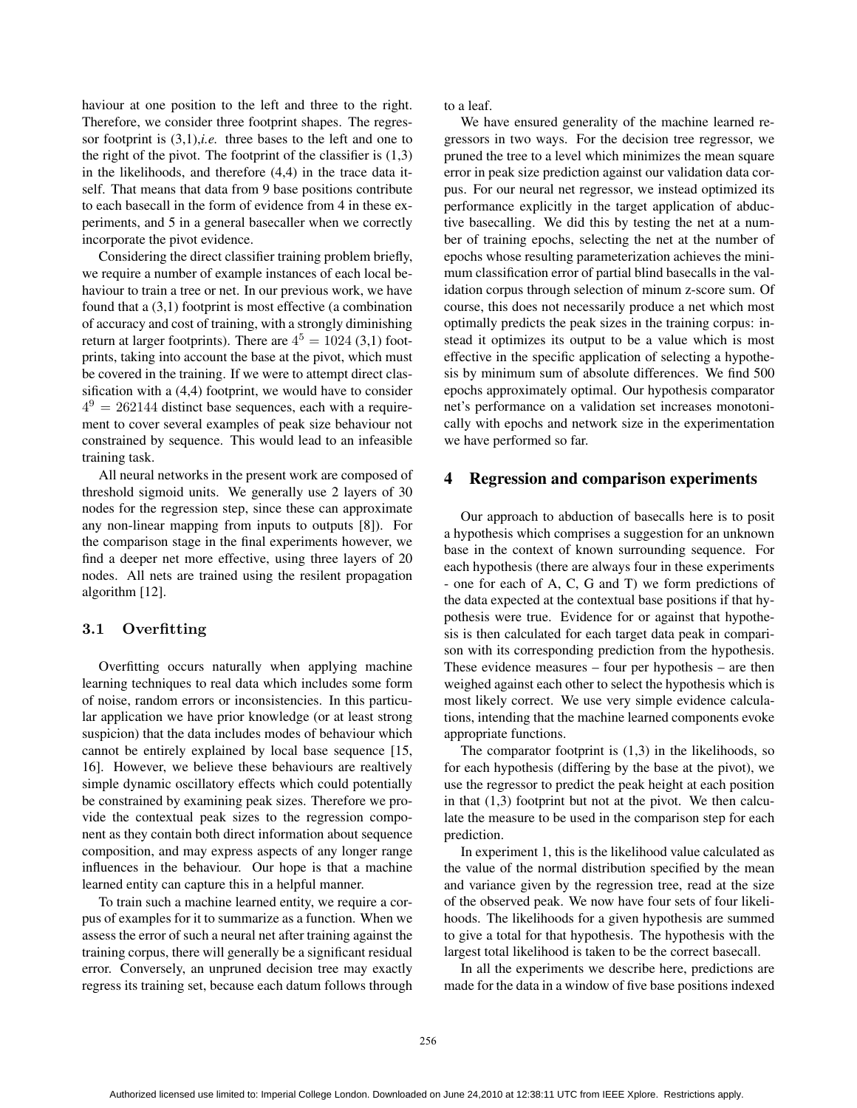haviour at one position to the left and three to the right. Therefore, we consider three footprint shapes. The regressor footprint is (3,1),*i.e.* three bases to the left and one to the right of the pivot. The footprint of the classifier is  $(1,3)$ in the likelihoods, and therefore (4,4) in the trace data itself. That means that data from 9 base positions contribute to each basecall in the form of evidence from 4 in these experiments, and 5 in a general basecaller when we correctly incorporate the pivot evidence.

Considering the direct classifier training problem briefly, we require a number of example instances of each local behaviour to train a tree or net. In our previous work, we have found that a (3,1) footprint is most effective (a combination of accuracy and cost of training, with a strongly diminishing return at larger footprints). There are  $4^5 = 1024$  (3,1) footprints, taking into account the base at the pivot, which must be covered in the training. If we were to attempt direct classification with a (4,4) footprint, we would have to consider  $4^9 = 262144$  distinct base sequences, each with a requirement to cover several examples of peak size behaviour not constrained by sequence. This would lead to an infeasible training task.

All neural networks in the present work are composed of threshold sigmoid units. We generally use 2 layers of 30 nodes for the regression step, since these can approximate any non-linear mapping from inputs to outputs [8]). For the comparison stage in the final experiments however, we find a deeper net more effective, using three layers of 20 nodes. All nets are trained using the resilent propagation algorithm [12].

#### $3.1$ **3.1 Overfitting**

Overfitting occurs naturally when applying machine learning techniques to real data which includes some form of noise, random errors or inconsistencies. In this particular application we have prior knowledge (or at least strong suspicion) that the data includes modes of behaviour which cannot be entirely explained by local base sequence [15, 16]. However, we believe these behaviours are realtively simple dynamic oscillatory effects which could potentially be constrained by examining peak sizes. Therefore we provide the contextual peak sizes to the regression component as they contain both direct information about sequence composition, and may express aspects of any longer range influences in the behaviour. Our hope is that a machine learned entity can capture this in a helpful manner.

To train such a machine learned entity, we require a corpus of examples for it to summarize as a function. When we assess the error of such a neural net after training against the training corpus, there will generally be a significant residual error. Conversely, an unpruned decision tree may exactly regress its training set, because each datum follows through to a leaf.

We have ensured generality of the machine learned regressors in two ways. For the decision tree regressor, we pruned the tree to a level which minimizes the mean square error in peak size prediction against our validation data corpus. For our neural net regressor, we instead optimized its performance explicitly in the target application of abductive basecalling. We did this by testing the net at a number of training epochs, selecting the net at the number of epochs whose resulting parameterization achieves the minimum classification error of partial blind basecalls in the validation corpus through selection of minum z-score sum. Of course, this does not necessarily produce a net which most optimally predicts the peak sizes in the training corpus: instead it optimizes its output to be a value which is most effective in the specific application of selecting a hypothesis by minimum sum of absolute differences. We find 500 epochs approximately optimal. Our hypothesis comparator net's performance on a validation set increases monotonically with epochs and network size in the experimentation we have performed so far.

## **4 Regression and comparison experiments**

Our approach to abduction of basecalls here is to posit a hypothesis which comprises a suggestion for an unknown base in the context of known surrounding sequence. For each hypothesis (there are always four in these experiments - one for each of A, C, G and T) we form predictions of the data expected at the contextual base positions if that hypothesis were true. Evidence for or against that hypothesis is then calculated for each target data peak in comparison with its corresponding prediction from the hypothesis. These evidence measures – four per hypothesis – are then weighed against each other to select the hypothesis which is most likely correct. We use very simple evidence calculations, intending that the machine learned components evoke appropriate functions.

The comparator footprint is (1,3) in the likelihoods, so for each hypothesis (differing by the base at the pivot), we use the regressor to predict the peak height at each position in that  $(1,3)$  footprint but not at the pivot. We then calculate the measure to be used in the comparison step for each prediction.

In experiment 1, this is the likelihood value calculated as the value of the normal distribution specified by the mean and variance given by the regression tree, read at the size of the observed peak. We now have four sets of four likelihoods. The likelihoods for a given hypothesis are summed to give a total for that hypothesis. The hypothesis with the largest total likelihood is taken to be the correct basecall.

In all the experiments we describe here, predictions are made for the data in a window of five base positions indexed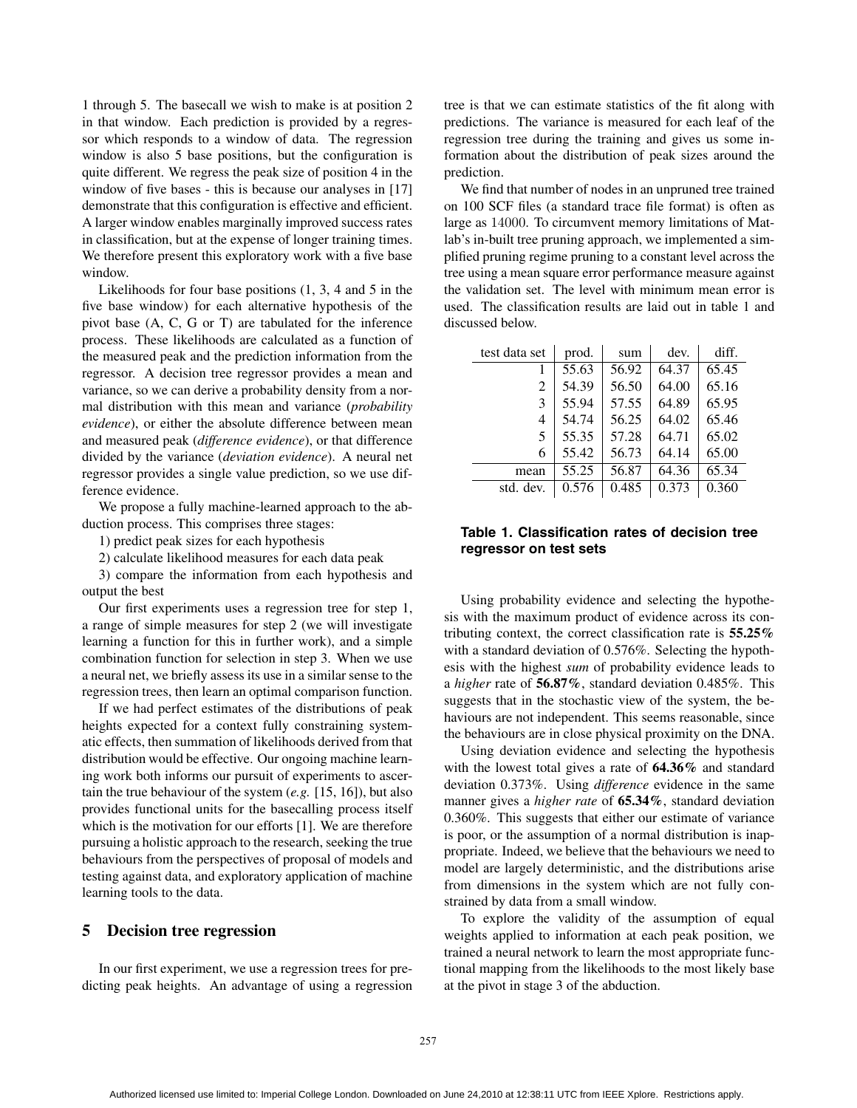1 through 5. The basecall we wish to make is at position 2 in that window. Each prediction is provided by a regressor which responds to a window of data. The regression window is also 5 base positions, but the configuration is quite different. We regress the peak size of position 4 in the window of five bases - this is because our analyses in [17] demonstrate that this configuration is effective and efficient. A larger window enables marginally improved success rates in classification, but at the expense of longer training times. We therefore present this exploratory work with a five base window.

Likelihoods for four base positions (1, 3, 4 and 5 in the five base window) for each alternative hypothesis of the pivot base (A, C, G or T) are tabulated for the inference process. These likelihoods are calculated as a function of the measured peak and the prediction information from the regressor. A decision tree regressor provides a mean and variance, so we can derive a probability density from a normal distribution with this mean and variance (*probability evidence*), or either the absolute difference between mean and measured peak (*difference evidence*), or that difference divided by the variance (*deviation evidence*). A neural net regressor provides a single value prediction, so we use difference evidence.

We propose a fully machine-learned approach to the abduction process. This comprises three stages:

1) predict peak sizes for each hypothesis

2) calculate likelihood measures for each data peak

3) compare the information from each hypothesis and output the best

Our first experiments uses a regression tree for step 1, a range of simple measures for step 2 (we will investigate learning a function for this in further work), and a simple combination function for selection in step 3. When we use a neural net, we briefly assess its use in a similar sense to the regression trees, then learn an optimal comparison function.

If we had perfect estimates of the distributions of peak heights expected for a context fully constraining systematic effects, then summation of likelihoods derived from that distribution would be effective. Our ongoing machine learning work both informs our pursuit of experiments to ascertain the true behaviour of the system (*e.g.* [15, 16]), but also provides functional units for the basecalling process itself which is the motivation for our efforts [1]. We are therefore pursuing a holistic approach to the research, seeking the true behaviours from the perspectives of proposal of models and testing against data, and exploratory application of machine learning tools to the data.

### **5 Decision tree regression**

In our first experiment, we use a regression trees for predicting peak heights. An advantage of using a regression tree is that we can estimate statistics of the fit along with predictions. The variance is measured for each leaf of the regression tree during the training and gives us some information about the distribution of peak sizes around the prediction.

We find that number of nodes in an unpruned tree trained on 100 SCF files (a standard trace file format) is often as large as 14000. To circumvent memory limitations of Matlab's in-built tree pruning approach, we implemented a simplified pruning regime pruning to a constant level across the tree using a mean square error performance measure against the validation set. The level with minimum mean error is used. The classification results are laid out in table 1 and discussed below.

| test data set | prod. | sum   | dev.  | diff. |
|---------------|-------|-------|-------|-------|
|               | 55.63 | 56.92 | 64.37 | 65.45 |
| 2             | 54.39 | 56.50 | 64.00 | 65.16 |
| 3             | 55.94 | 57.55 | 64.89 | 65.95 |
| 4             | 54.74 | 56.25 | 64.02 | 65.46 |
| 5             | 55.35 | 57.28 | 64.71 | 65.02 |
| 6             | 55.42 | 56.73 | 64.14 | 65.00 |
| mean          | 55.25 | 56.87 | 64.36 | 65.34 |
| std. dev.     | 0.576 | 0.485 | 0.373 | 0.360 |

## **Table 1. Classification rates of decision tree regressor on test sets**

Using probability evidence and selecting the hypothesis with the maximum product of evidence across its contributing context, the correct classification rate is **55.25%** with a standard deviation of 0.576%. Selecting the hypothesis with the highest *sum* of probability evidence leads to a *higher* rate of **56.87%**, standard deviation 0.485%. This suggests that in the stochastic view of the system, the behaviours are not independent. This seems reasonable, since the behaviours are in close physical proximity on the DNA.

Using deviation evidence and selecting the hypothesis with the lowest total gives a rate of **64.36%** and standard deviation 0.373%. Using *difference* evidence in the same manner gives a *higher rate* of **65.34%**, standard deviation 0.360%. This suggests that either our estimate of variance is poor, or the assumption of a normal distribution is inappropriate. Indeed, we believe that the behaviours we need to model are largely deterministic, and the distributions arise from dimensions in the system which are not fully constrained by data from a small window.

To explore the validity of the assumption of equal weights applied to information at each peak position, we trained a neural network to learn the most appropriate functional mapping from the likelihoods to the most likely base at the pivot in stage 3 of the abduction.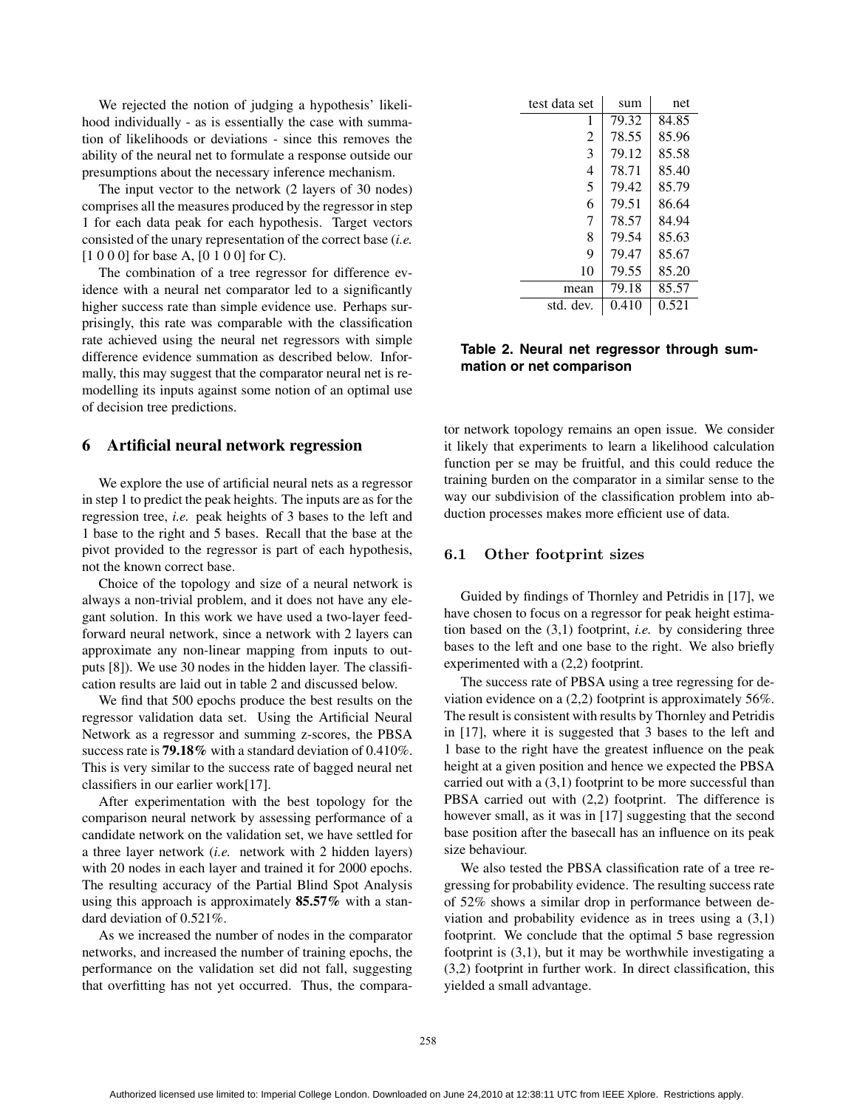We rejected the notion of judging a hypothesis' likelihood individually - as is essentially the case with summation of likelihoods or deviations - since this removes the ability of the neural net to formulate a response outside our presumptions about the necessary inference mechanism.

The input vector to the network (2 layers of 30 nodes) comprises all the measures produced by the regressor in step 1 for each data peak for each hypothesis. Target vectors consisted of the unary representation of the correct base (*i.e.* [1 0 0 0] for base A, [0 1 0 0] for C).

The combination of a tree regressor for difference evidence with a neural net comparator led to a significantly higher success rate than simple evidence use. Perhaps surprisingly, this rate was comparable with the classification rate achieved using the neural net regressors with simple difference evidence summation as described below. Informally, this may suggest that the comparator neural net is remodelling its inputs against some notion of an optimal use of decision tree predictions.

#### **6 Artificial neural network regression**

We explore the use of artificial neural nets as a regressor in step 1 to predict the peak heights. The inputs are as for the regression tree, *i.e.* peak heights of 3 bases to the left and 1 base to the right and 5 bases. Recall that the base at the pivot provided to the regressor is part of each hypothesis, not the known correct base.

Choice of the topology and size of a neural network is always a non-trivial problem, and it does not have any elegant solution. In this work we have used a two-layer feedforward neural network, since a network with 2 layers can approximate any non-linear mapping from inputs to outputs [8]). We use 30 nodes in the hidden layer. The classification results are laid out in table 2 and discussed below.

We find that 500 epochs produce the best results on the regressor validation data set. Using the Artificial Neural Network as a regressor and summing z-scores, the PBSA success rate is **79.18%** with a standard deviation of 0.410%. This is very similar to the success rate of bagged neural net classifiers in our earlier work[17].

After experimentation with the best topology for the comparison neural network by assessing performance of a candidate network on the validation set, we have settled for a three layer network (*i.e.* network with 2 hidden layers) with 20 nodes in each layer and trained it for 2000 epochs. The resulting accuracy of the Partial Blind Spot Analysis using this approach is approximately **85.57%** with a standard deviation of 0.521%.

As we increased the number of nodes in the comparator networks, and increased the number of training epochs, the performance on the validation set did not fall, suggesting that overfitting has not yet occurred. Thus, the compara-

| test data set  | sum   | net   |  |
|----------------|-------|-------|--|
| 1              | 79.32 | 84.85 |  |
| $\mathfrak{D}$ | 78.55 | 85.96 |  |
| 3              | 79.12 | 85.58 |  |
| 4              | 78.71 | 85.40 |  |
| 5              | 79.42 | 85.79 |  |
| 6              | 79.51 | 86.64 |  |
| 7              | 78.57 | 84.94 |  |
| 8              | 79.54 | 85.63 |  |
| 9              | 79.47 | 85.67 |  |
| 10             | 79.55 | 85.20 |  |
| mean           | 79.18 | 85.57 |  |
| std. dev.      | 0.410 | 0.521 |  |

## **Table 2. Neural net regressor through summation or net comparison**

tor network topology remains an open issue. We consider it likely that experiments to learn a likelihood calculation function per se may be fruitful, and this could reduce the training burden on the comparator in a similar sense to the way our subdivision of the classification problem into abduction processes makes more efficient use of data.

#### $6.1$ **6.1 Other footprint sizes**

Guided by findings of Thornley and Petridis in [17], we have chosen to focus on a regressor for peak height estimation based on the (3,1) footprint, *i.e.* by considering three bases to the left and one base to the right. We also briefly experimented with a (2,2) footprint.

The success rate of PBSA using a tree regressing for deviation evidence on a (2,2) footprint is approximately 56%. The result is consistent with results by Thornley and Petridis in [17], where it is suggested that 3 bases to the left and 1 base to the right have the greatest influence on the peak height at a given position and hence we expected the PBSA carried out with a (3,1) footprint to be more successful than PBSA carried out with (2,2) footprint. The difference is however small, as it was in [17] suggesting that the second base position after the basecall has an influence on its peak size behaviour.

We also tested the PBSA classification rate of a tree regressing for probability evidence. The resulting success rate of 52% shows a similar drop in performance between deviation and probability evidence as in trees using a (3,1) footprint. We conclude that the optimal 5 base regression footprint is (3,1), but it may be worthwhile investigating a (3,2) footprint in further work. In direct classification, this yielded a small advantage.